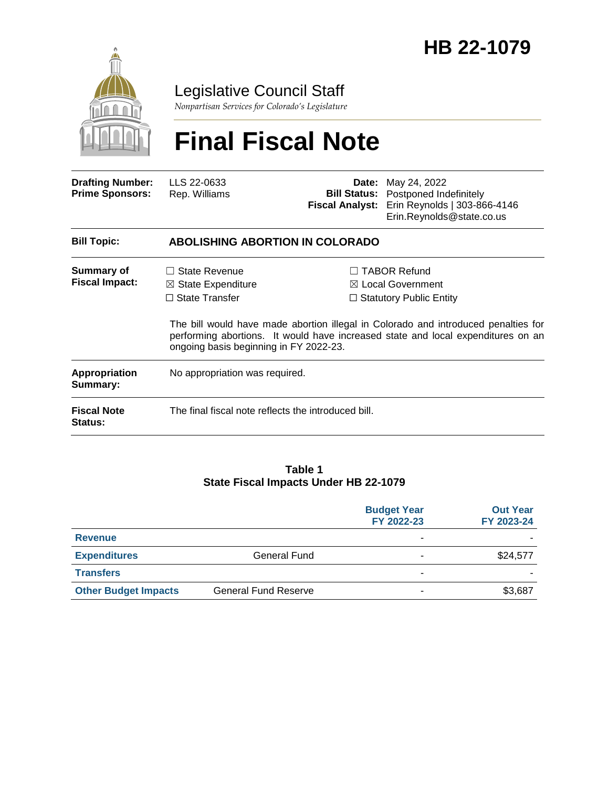

# Legislative Council Staff

*Nonpartisan Services for Colorado's Legislature*

# **Final Fiscal Note**

| <b>Drafting Number:</b><br><b>Prime Sponsors:</b> | LLS 22-0633<br>Rep. Williams                                                                                             | Date:<br><b>Bill Status:</b> | May 24, 2022<br>Postponed Indefinitely<br>Fiscal Analyst: Erin Reynolds   303-866-4146<br>Erin.Reynolds@state.co.us                                                                                                                                             |  |
|---------------------------------------------------|--------------------------------------------------------------------------------------------------------------------------|------------------------------|-----------------------------------------------------------------------------------------------------------------------------------------------------------------------------------------------------------------------------------------------------------------|--|
| <b>Bill Topic:</b>                                | <b>ABOLISHING ABORTION IN COLORADO</b>                                                                                   |                              |                                                                                                                                                                                                                                                                 |  |
| Summary of<br><b>Fiscal Impact:</b>               | $\Box$ State Revenue<br>$\boxtimes$ State Expenditure<br>$\Box$ State Transfer<br>ongoing basis beginning in FY 2022-23. |                              | $\Box$ TABOR Refund<br>$\boxtimes$ Local Government<br>$\Box$ Statutory Public Entity<br>The bill would have made abortion illegal in Colorado and introduced penalties for<br>performing abortions. It would have increased state and local expenditures on an |  |
| Appropriation<br>Summary:                         | No appropriation was required.                                                                                           |                              |                                                                                                                                                                                                                                                                 |  |
| <b>Fiscal Note</b><br><b>Status:</b>              | The final fiscal note reflects the introduced bill.                                                                      |                              |                                                                                                                                                                                                                                                                 |  |

#### **Table 1 State Fiscal Impacts Under HB 22-1079**

|                             |                             | <b>Budget Year</b><br>FY 2022-23 | <b>Out Year</b><br>FY 2023-24 |
|-----------------------------|-----------------------------|----------------------------------|-------------------------------|
| <b>Revenue</b>              |                             | ٠                                |                               |
| <b>Expenditures</b>         | General Fund                |                                  | \$24,577                      |
| <b>Transfers</b>            |                             | -                                |                               |
| <b>Other Budget Impacts</b> | <b>General Fund Reserve</b> | ۰                                | \$3,687                       |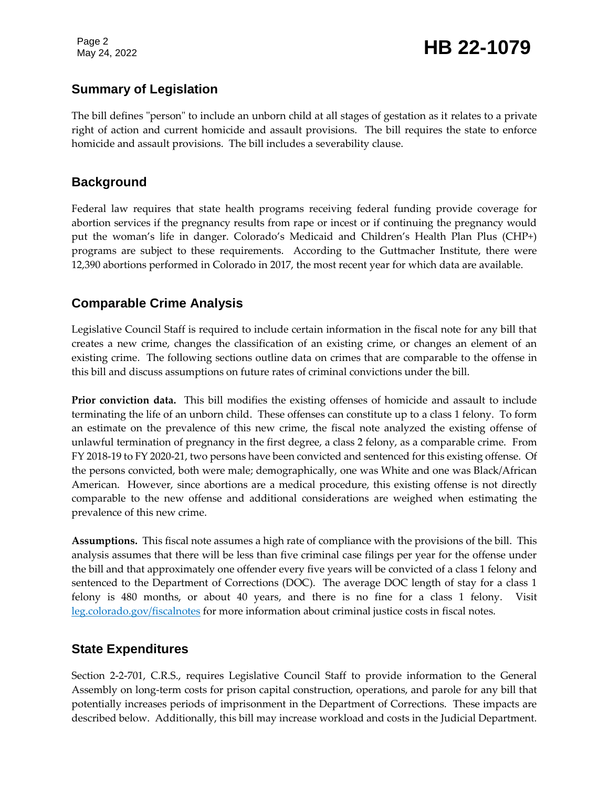Page 2

# Page 2<br>May 24, 2022 **HB 22-1079**

# **Summary of Legislation**

The bill defines "person" to include an unborn child at all stages of gestation as it relates to a private right of action and current homicide and assault provisions. The bill requires the state to enforce homicide and assault provisions. The bill includes a severability clause.

### **Background**

Federal law requires that state health programs receiving federal funding provide coverage for abortion services if the pregnancy results from rape or incest or if continuing the pregnancy would put the woman's life in danger. Colorado's Medicaid and Children's Health Plan Plus (CHP+) programs are subject to these requirements. According to the Guttmacher Institute, there were 12,390 abortions performed in Colorado in 2017, the most recent year for which data are available.

# **Comparable Crime Analysis**

Legislative Council Staff is required to include certain information in the fiscal note for any bill that creates a new crime, changes the classification of an existing crime, or changes an element of an existing crime. The following sections outline data on crimes that are comparable to the offense in this bill and discuss assumptions on future rates of criminal convictions under the bill.

**Prior conviction data.** This bill modifies the existing offenses of homicide and assault to include terminating the life of an unborn child. These offenses can constitute up to a class 1 felony. To form an estimate on the prevalence of this new crime, the fiscal note analyzed the existing offense of unlawful termination of pregnancy in the first degree, a class 2 felony, as a comparable crime. From FY 2018-19 to FY 2020-21, two persons have been convicted and sentenced for this existing offense. Of the persons convicted, both were male; demographically, one was White and one was Black/African American. However, since abortions are a medical procedure, this existing offense is not directly comparable to the new offense and additional considerations are weighed when estimating the prevalence of this new crime.

**Assumptions.** This fiscal note assumes a high rate of compliance with the provisions of the bill. This analysis assumes that there will be less than five criminal case filings per year for the offense under the bill and that approximately one offender every five years will be convicted of a class 1 felony and sentenced to the Department of Corrections (DOC). The average DOC length of stay for a class 1 felony is 480 months, or about 40 years, and there is no fine for a class 1 felony. Visit [leg.colorado.gov/fiscalnotes](http://leg.colorado.gov/fiscalnotes/) for more information about criminal justice costs in fiscal notes.

#### **State Expenditures**

Section 2-2-701, C.R.S., requires Legislative Council Staff to provide information to the General Assembly on long-term costs for prison capital construction, operations, and parole for any bill that potentially increases periods of imprisonment in the Department of Corrections. These impacts are described below. Additionally, this bill may increase workload and costs in the Judicial Department.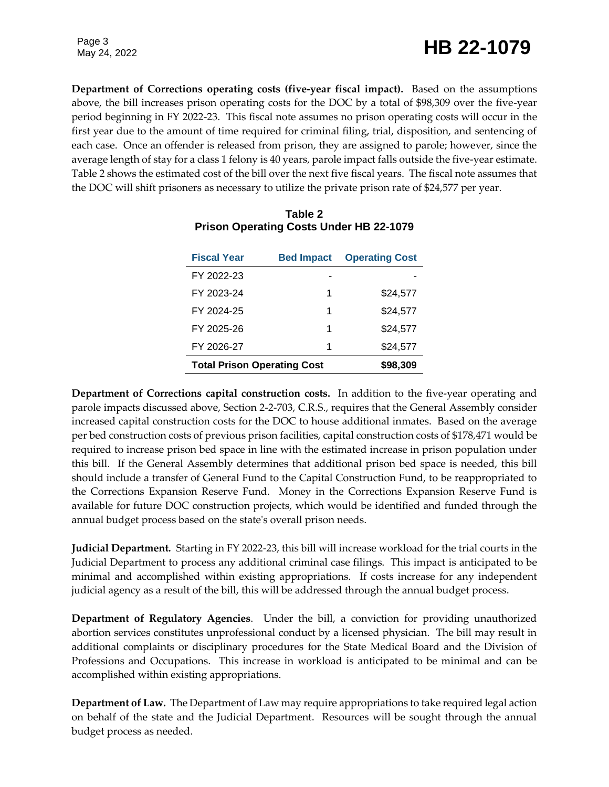# Page 3<br>May 24, 2022 **HB 22-1079**

Page 3

**Department of Corrections operating costs (five-year fiscal impact).** Based on the assumptions above, the bill increases prison operating costs for the DOC by a total of \$98,309 over the five-year period beginning in FY 2022-23. This fiscal note assumes no prison operating costs will occur in the first year due to the amount of time required for criminal filing, trial, disposition, and sentencing of each case. Once an offender is released from prison, they are assigned to parole; however, since the average length of stay for a class 1 felony is 40 years, parole impact falls outside the five-year estimate. Table 2 shows the estimated cost of the bill over the next five fiscal years. The fiscal note assumes that the DOC will shift prisoners as necessary to utilize the private prison rate of \$24,577 per year.

| <b>Fiscal Year</b>                 | <b>Bed Impact</b> | <b>Operating Cost</b> |
|------------------------------------|-------------------|-----------------------|
| FY 2022-23                         |                   |                       |
| FY 2023-24                         | 1                 | \$24,577              |
| FY 2024-25                         | 1                 | \$24.577              |
| FY 2025-26                         | 1                 | \$24,577              |
| FY 2026-27                         | 1                 | \$24,577              |
| <b>Total Prison Operating Cost</b> | \$98.309          |                       |

#### **Table 2 Prison Operating Costs Under HB 22-1079**

**Department of Corrections capital construction costs.** In addition to the five-year operating and parole impacts discussed above, Section 2-2-703, C.R.S., requires that the General Assembly consider increased capital construction costs for the DOC to house additional inmates. Based on the average per bed construction costs of previous prison facilities, capital construction costs of \$178,471 would be required to increase prison bed space in line with the estimated increase in prison population under this bill. If the General Assembly determines that additional prison bed space is needed, this bill should include a transfer of General Fund to the Capital Construction Fund, to be reappropriated to the Corrections Expansion Reserve Fund. Money in the Corrections Expansion Reserve Fund is available for future DOC construction projects, which would be identified and funded through the annual budget process based on the state's overall prison needs.

**Judicial Department***.* Starting in FY 2022-23, this bill will increase workload for the trial courts in the Judicial Department to process any additional criminal case filings. This impact is anticipated to be minimal and accomplished within existing appropriations. If costs increase for any independent judicial agency as a result of the bill, this will be addressed through the annual budget process.

**Department of Regulatory Agencies**. Under the bill, a conviction for providing unauthorized abortion services constitutes unprofessional conduct by a licensed physician. The bill may result in additional complaints or disciplinary procedures for the State Medical Board and the Division of Professions and Occupations. This increase in workload is anticipated to be minimal and can be accomplished within existing appropriations.

**Department of Law.** The Department of Law may require appropriations to take required legal action on behalf of the state and the Judicial Department. Resources will be sought through the annual budget process as needed.